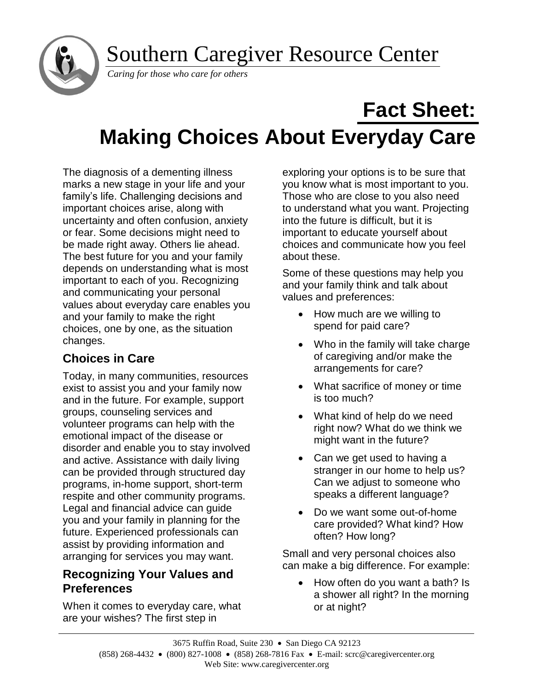Southern Caregiver Resource Center



*Caring for those who care for others*

# **Fact Sheet: Making Choices About Everyday Care**

The diagnosis of a dementing illness marks a new stage in your life and your family's life. Challenging decisions and important choices arise, along with uncertainty and often confusion, anxiety or fear. Some decisions might need to be made right away. Others lie ahead. The best future for you and your family depends on understanding what is most important to each of you. Recognizing and communicating your personal values about everyday care enables you and your family to make the right choices, one by one, as the situation changes.

# **Choices in Care**

Today, in many communities, resources exist to assist you and your family now and in the future. For example, support groups, counseling services and volunteer programs can help with the emotional impact of the disease or disorder and enable you to stay involved and active. Assistance with daily living can be provided through structured day programs, in-home support, short-term respite and other community programs. Legal and financial advice can guide you and your family in planning for the future. Experienced professionals can assist by providing information and arranging for services you may want.

## **Recognizing Your Values and Preferences**

When it comes to everyday care, what are your wishes? The first step in

exploring your options is to be sure that you know what is most important to you. Those who are close to you also need to understand what you want. Projecting into the future is difficult, but it is important to educate yourself about choices and communicate how you feel about these.

Some of these questions may help you and your family think and talk about values and preferences:

- How much are we willing to spend for paid care?
- Who in the family will take charge of caregiving and/or make the arrangements for care?
- What sacrifice of money or time is too much?
- What kind of help do we need right now? What do we think we might want in the future?
- Can we get used to having a stranger in our home to help us? Can we adjust to someone who speaks a different language?
- Do we want some out-of-home care provided? What kind? How often? How long?

Small and very personal choices also can make a big difference. For example:

• How often do you want a bath? Is a shower all right? In the morning or at night?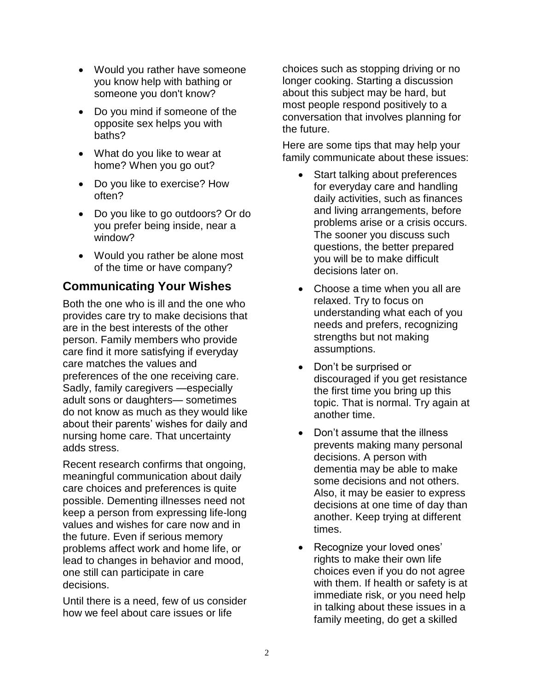- Would you rather have someone you know help with bathing or someone you don't know?
- Do you mind if someone of the opposite sex helps you with baths?
- What do you like to wear at home? When you go out?
- Do you like to exercise? How often?
- Do you like to go outdoors? Or do you prefer being inside, near a window?
- Would you rather be alone most of the time or have company?

## **Communicating Your Wishes**

Both the one who is ill and the one who provides care try to make decisions that are in the best interests of the other person. Family members who provide care find it more satisfying if everyday care matches the values and preferences of the one receiving care. Sadly, family caregivers —especially adult sons or daughters— sometimes do not know as much as they would like about their parents' wishes for daily and nursing home care. That uncertainty adds stress.

Recent research confirms that ongoing, meaningful communication about daily care choices and preferences is quite possible. Dementing illnesses need not keep a person from expressing life-long values and wishes for care now and in the future. Even if serious memory problems affect work and home life, or lead to changes in behavior and mood, one still can participate in care decisions.

Until there is a need, few of us consider how we feel about care issues or life

choices such as stopping driving or no longer cooking. Starting a discussion about this subject may be hard, but most people respond positively to a conversation that involves planning for the future.

Here are some tips that may help your family communicate about these issues:

- Start talking about preferences for everyday care and handling daily activities, such as finances and living arrangements, before problems arise or a crisis occurs. The sooner you discuss such questions, the better prepared you will be to make difficult decisions later on.
- Choose a time when you all are relaxed. Try to focus on understanding what each of you needs and prefers, recognizing strengths but not making assumptions.
- Don't be surprised or discouraged if you get resistance the first time you bring up this topic. That is normal. Try again at another time.
- Don't assume that the illness prevents making many personal decisions. A person with dementia may be able to make some decisions and not others. Also, it may be easier to express decisions at one time of day than another. Keep trying at different times.
- Recognize your loved ones' rights to make their own life choices even if you do not agree with them. If health or safety is at immediate risk, or you need help in talking about these issues in a family meeting, do get a skilled